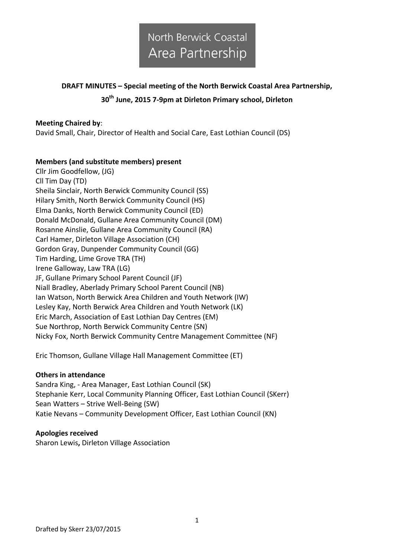### **DRAFT MINUTES – Special meeting of the North Berwick Coastal Area Partnership, 30th June, 2015 7-9pm at Dirleton Primary school, Dirleton**

### **Meeting Chaired by**:

David Small, Chair, Director of Health and Social Care, East Lothian Council (DS)

#### **Members (and substitute members) present**

Cllr Jim Goodfellow, (JG) Cll Tim Day (TD) Sheila Sinclair, North Berwick Community Council (SS) Hilary Smith, North Berwick Community Council (HS) Elma Danks, North Berwick Community Council (ED) Donald McDonald, Gullane Area Community Council (DM) Rosanne Ainslie, Gullane Area Community Council (RA) Carl Hamer, Dirleton Village Association (CH) Gordon Gray, Dunpender Community Council (GG) Tim Harding, Lime Grove TRA (TH) Irene Galloway, Law TRA (LG) JF, Gullane Primary School Parent Council (JF) Niall Bradley, Aberlady Primary School Parent Council (NB) Ian Watson, North Berwick Area Children and Youth Network (IW) Lesley Kay, North Berwick Area Children and Youth Network (LK) Eric March, Association of East Lothian Day Centres (EM) Sue Northrop, North Berwick Community Centre (SN) Nicky Fox, North Berwick Community Centre Management Committee (NF)

Eric Thomson, Gullane Village Hall Management Committee (ET)

#### **Others in attendance**

Sandra King, - Area Manager, East Lothian Council (SK) Stephanie Kerr, Local Community Planning Officer, East Lothian Council (SKerr) Sean Watters – Strive Well-Being (SW) Katie Nevans – Community Development Officer, East Lothian Council (KN)

#### **Apologies received**

Sharon Lewis**,** Dirleton Village Association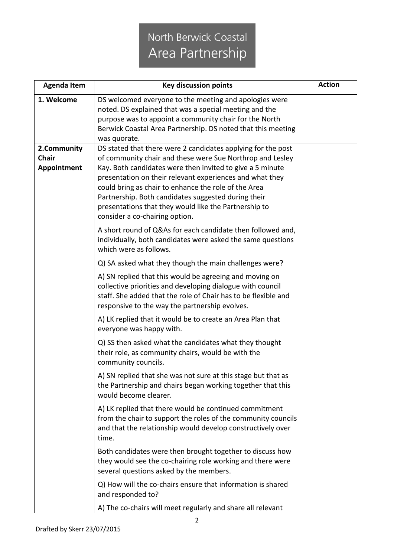| <b>Agenda Item</b>   | <b>Key discussion points</b>                                                                                                                                                                                                                                                                                                                                                                 | <b>Action</b> |
|----------------------|----------------------------------------------------------------------------------------------------------------------------------------------------------------------------------------------------------------------------------------------------------------------------------------------------------------------------------------------------------------------------------------------|---------------|
| 1. Welcome           | DS welcomed everyone to the meeting and apologies were<br>noted. DS explained that was a special meeting and the<br>purpose was to appoint a community chair for the North<br>Berwick Coastal Area Partnership. DS noted that this meeting<br>was quorate.                                                                                                                                   |               |
| 2.Community          | DS stated that there were 2 candidates applying for the post                                                                                                                                                                                                                                                                                                                                 |               |
| Chair<br>Appointment | of community chair and these were Sue Northrop and Lesley<br>Kay. Both candidates were then invited to give a 5 minute<br>presentation on their relevant experiences and what they<br>could bring as chair to enhance the role of the Area<br>Partnership. Both candidates suggested during their<br>presentations that they would like the Partnership to<br>consider a co-chairing option. |               |
|                      | A short round of Q&As for each candidate then followed and,<br>individually, both candidates were asked the same questions<br>which were as follows.                                                                                                                                                                                                                                         |               |
|                      | Q) SA asked what they though the main challenges were?                                                                                                                                                                                                                                                                                                                                       |               |
|                      | A) SN replied that this would be agreeing and moving on<br>collective priorities and developing dialogue with council<br>staff. She added that the role of Chair has to be flexible and<br>responsive to the way the partnership evolves.                                                                                                                                                    |               |
|                      | A) LK replied that it would be to create an Area Plan that<br>everyone was happy with.                                                                                                                                                                                                                                                                                                       |               |
|                      | Q) SS then asked what the candidates what they thought<br>their role, as community chairs, would be with the<br>community councils.                                                                                                                                                                                                                                                          |               |
|                      | A) SN replied that she was not sure at this stage but that as<br>the Partnership and chairs began working together that this<br>would become clearer.                                                                                                                                                                                                                                        |               |
|                      | A) LK replied that there would be continued commitment<br>from the chair to support the roles of the community councils<br>and that the relationship would develop constructively over<br>time.                                                                                                                                                                                              |               |
|                      | Both candidates were then brought together to discuss how<br>they would see the co-chairing role working and there were<br>several questions asked by the members.                                                                                                                                                                                                                           |               |
|                      | Q) How will the co-chairs ensure that information is shared<br>and responded to?                                                                                                                                                                                                                                                                                                             |               |
|                      | A) The co-chairs will meet regularly and share all relevant                                                                                                                                                                                                                                                                                                                                  |               |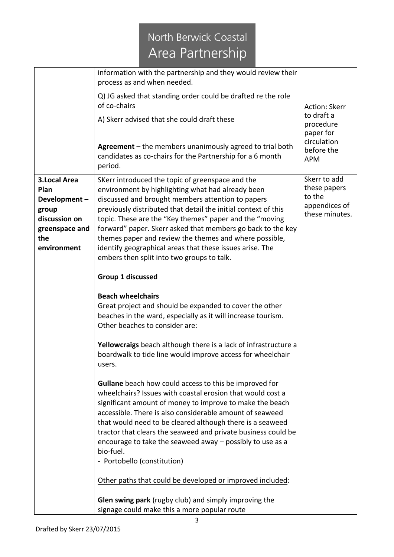|                                                                                                               | information with the partnership and they would review their                                                                                                                                                                                                                                                                                                                                                                                                                                                               |                                                                           |  |
|---------------------------------------------------------------------------------------------------------------|----------------------------------------------------------------------------------------------------------------------------------------------------------------------------------------------------------------------------------------------------------------------------------------------------------------------------------------------------------------------------------------------------------------------------------------------------------------------------------------------------------------------------|---------------------------------------------------------------------------|--|
|                                                                                                               | process as and when needed.                                                                                                                                                                                                                                                                                                                                                                                                                                                                                                |                                                                           |  |
|                                                                                                               | Q) JG asked that standing order could be drafted re the role<br>of co-chairs                                                                                                                                                                                                                                                                                                                                                                                                                                               | Action: Skerr<br>to draft a<br>procedure<br>paper for                     |  |
|                                                                                                               | A) Skerr advised that she could draft these                                                                                                                                                                                                                                                                                                                                                                                                                                                                                |                                                                           |  |
|                                                                                                               | Agreement $-$ the members unanimously agreed to trial both<br>candidates as co-chairs for the Partnership for a 6 month<br>period.                                                                                                                                                                                                                                                                                                                                                                                         | circulation<br>before the<br><b>APM</b>                                   |  |
| <b>3.Local Area</b><br>Plan<br>Development-<br>group<br>discussion on<br>greenspace and<br>the<br>environment | SKerr introduced the topic of greenspace and the<br>environment by highlighting what had already been<br>discussed and brought members attention to papers<br>previously distributed that detail the initial context of this<br>topic. These are the "Key themes" paper and the "moving<br>forward" paper. Skerr asked that members go back to the key<br>themes paper and review the themes and where possible,<br>identify geographical areas that these issues arise. The<br>embers then split into two groups to talk. | Skerr to add<br>these papers<br>to the<br>appendices of<br>these minutes. |  |
|                                                                                                               | Group 1 discussed                                                                                                                                                                                                                                                                                                                                                                                                                                                                                                          |                                                                           |  |
|                                                                                                               | <b>Beach wheelchairs</b><br>Great project and should be expanded to cover the other<br>beaches in the ward, especially as it will increase tourism.<br>Other beaches to consider are:                                                                                                                                                                                                                                                                                                                                      |                                                                           |  |
|                                                                                                               | Yellowcraigs beach although there is a lack of infrastructure a<br>boardwalk to tide line would improve access for wheelchair<br>users.                                                                                                                                                                                                                                                                                                                                                                                    |                                                                           |  |
|                                                                                                               | <b>Gullane</b> beach how could access to this be improved for<br>wheelchairs? Issues with coastal erosion that would cost a<br>significant amount of money to improve to make the beach<br>accessible. There is also considerable amount of seaweed<br>that would need to be cleared although there is a seaweed<br>tractor that clears the seaweed and private business could be<br>encourage to take the seaweed away - possibly to use as a<br>bio-fuel.<br>- Portobello (constitution)                                 |                                                                           |  |
|                                                                                                               | Other paths that could be developed or improved included:                                                                                                                                                                                                                                                                                                                                                                                                                                                                  |                                                                           |  |
|                                                                                                               | <b>Glen swing park</b> (rugby club) and simply improving the<br>signage could make this a more popular route                                                                                                                                                                                                                                                                                                                                                                                                               |                                                                           |  |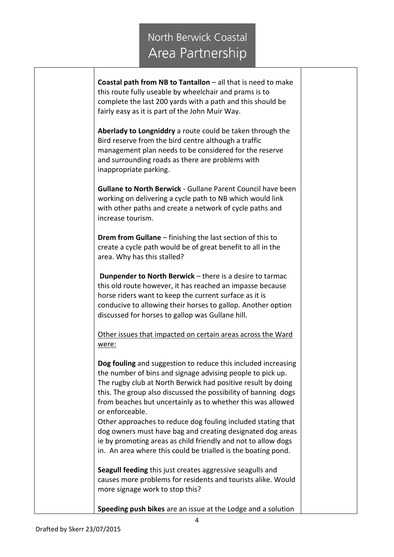**Coastal path from NB to Tantallon** – all that is need to make this route fully useable by wheelchair and prams is to complete the last 200 yards with a path and this should be fairly easy as it is part of the John Muir Way.

**Aberlady to Longniddry** a route could be taken through the Bird reserve from the bird centre although a traffic management plan needs to be considered for the reserve and surrounding roads as there are problems with inappropriate parking.

**Gullane to North Berwick** - Gullane Parent Council have been working on delivering a cycle path to NB which would link with other paths and create a network of cycle paths and increase tourism.

**Drem from Gullane** – finishing the last section of this to create a cycle path would be of great benefit to all in the area. Why has this stalled?

**Dunpender to North Berwick** – there is a desire to tarmac this old route however, it has reached an impasse because horse riders want to keep the current surface as it is conducive to allowing their horses to gallop. Another option discussed for horses to gallop was Gullane hill.

Other issues that impacted on certain areas across the Ward were:

**Dog fouling** and suggestion to reduce this included increasing the number of bins and signage advising people to pick up. The rugby club at North Berwick had positive result by doing this. The group also discussed the possibility of banning dogs from beaches but uncertainly as to whether this was allowed or enforceable.

Other approaches to reduce dog fouling included stating that dog owners must have bag and creating designated dog areas ie by promoting areas as child friendly and not to allow dogs in. An area where this could be trialled is the boating pond.

**Seagull feeding** this just creates aggressive seagulls and causes more problems for residents and tourists alike. Would more signage work to stop this?

**Speeding push bikes** are an issue at the Lodge and a solution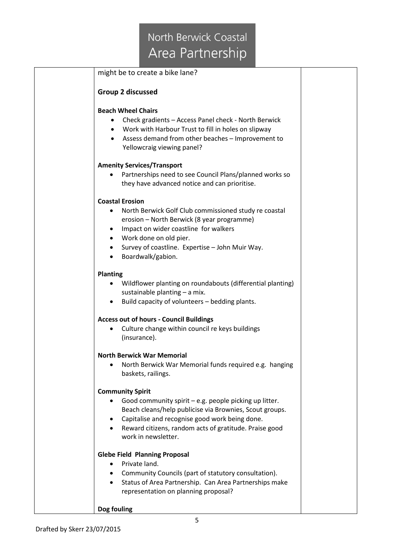|                 | might be to create a bike lane?                            |
|-----------------|------------------------------------------------------------|
|                 | <b>Group 2 discussed</b>                                   |
|                 | <b>Beach Wheel Chairs</b>                                  |
|                 | Check gradients - Access Panel check - North Berwick       |
| $\bullet$       | Work with Harbour Trust to fill in holes on slipway        |
| $\bullet$       | Assess demand from other beaches - Improvement to          |
|                 | Yellowcraig viewing panel?                                 |
|                 | <b>Amenity Services/Transport</b>                          |
|                 | Partnerships need to see Council Plans/planned works so    |
|                 | they have advanced notice and can prioritise.              |
|                 | <b>Coastal Erosion</b>                                     |
| $\bullet$       | North Berwick Golf Club commissioned study re coastal      |
|                 | erosion - North Berwick (8 year programme)                 |
| $\bullet$       | Impact on wider coastline for walkers                      |
| $\bullet$       | Work done on old pier.                                     |
| $\bullet$       | Survey of coastline. Expertise - John Muir Way.            |
| $\bullet$       | Boardwalk/gabion.                                          |
| <b>Planting</b> |                                                            |
|                 | Wildflower planting on roundabouts (differential planting) |
|                 | sustainable planting - a mix.                              |
|                 | Build capacity of volunteers - bedding plants.             |
|                 | <b>Access out of hours - Council Buildings</b>             |
|                 | Culture change within council re keys buildings            |
|                 | (insurance).                                               |
|                 | <b>North Berwick War Memorial</b>                          |
|                 | North Berwick War Memorial funds required e.g. hanging     |
|                 | baskets, railings.                                         |
|                 | <b>Community Spirit</b>                                    |
|                 | Good community spirit $-e.g.$ people picking up litter.    |
|                 | Beach cleans/help publicise via Brownies, Scout groups.    |
| ٠               | Capitalise and recognise good work being done.             |
| $\bullet$       | Reward citizens, random acts of gratitude. Praise good     |
|                 | work in newsletter.                                        |
|                 | <b>Glebe Field Planning Proposal</b>                       |
|                 | Private land.                                              |
|                 | Community Councils (part of statutory consultation).       |
| $\bullet$       | Status of Area Partnership. Can Area Partnerships make     |
|                 | representation on planning proposal?                       |
| Dog fouling     |                                                            |
|                 |                                                            |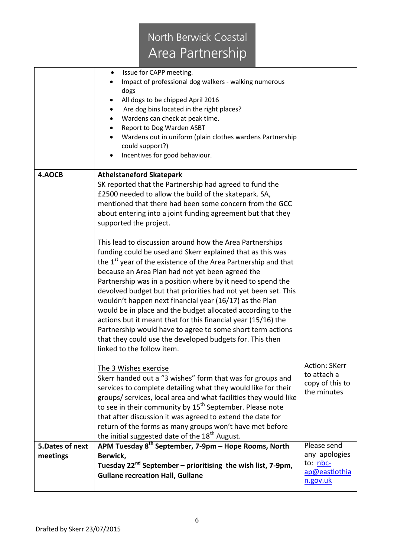|                              | Issue for CAPP meeting.<br>$\bullet$<br>Impact of professional dog walkers - walking numerous<br>dogs<br>All dogs to be chipped April 2016<br>Are dog bins located in the right places?<br>Wardens can check at peak time.<br>Report to Dog Warden ASBT<br>Wardens out in uniform (plain clothes wardens Partnership<br>could support?)<br>Incentives for good behaviour.                                                                                                                                                                                                                                                                                                                                                                    |                                                                       |
|------------------------------|----------------------------------------------------------------------------------------------------------------------------------------------------------------------------------------------------------------------------------------------------------------------------------------------------------------------------------------------------------------------------------------------------------------------------------------------------------------------------------------------------------------------------------------------------------------------------------------------------------------------------------------------------------------------------------------------------------------------------------------------|-----------------------------------------------------------------------|
| 4.AOCB                       | <b>Athelstaneford Skatepark</b><br>SK reported that the Partnership had agreed to fund the<br>£2500 needed to allow the build of the skatepark. SA,<br>mentioned that there had been some concern from the GCC<br>about entering into a joint funding agreement but that they<br>supported the project.                                                                                                                                                                                                                                                                                                                                                                                                                                      |                                                                       |
|                              | This lead to discussion around how the Area Partnerships<br>funding could be used and Skerr explained that as this was<br>the 1 <sup>st</sup> year of the existence of the Area Partnership and that<br>because an Area Plan had not yet been agreed the<br>Partnership was in a position where by it need to spend the<br>devolved budget but that priorities had not yet been set. This<br>wouldn't happen next financial year (16/17) as the Plan<br>would be in place and the budget allocated according to the<br>actions but it meant that for this financial year (15/16) the<br>Partnership would have to agree to some short term actions<br>that they could use the developed budgets for. This then<br>linked to the follow item. |                                                                       |
|                              | The 3 Wishes exercise<br>Skerr handed out a "3 wishes" form that was for groups and<br>services to complete detailing what they would like for their<br>groups/ services, local area and what facilities they would like<br>to see in their community by 15 <sup>th</sup> September. Please note<br>that after discussion it was agreed to extend the date for<br>return of the forms as many groups won't have met before<br>the initial suggested date of the 18 <sup>th</sup> August.                                                                                                                                                                                                                                                     | <b>Action: SKerr</b><br>to attach a<br>copy of this to<br>the minutes |
| 5. Dates of next<br>meetings | APM Tuesday 8 <sup>th</sup> September, 7-9pm - Hope Rooms, North<br>Berwick,<br>Tuesday 22 <sup>nd</sup> September – prioritising the wish list, 7-9pm,<br><b>Gullane recreation Hall, Gullane</b>                                                                                                                                                                                                                                                                                                                                                                                                                                                                                                                                           | Please send<br>any apologies<br>to: nbc-<br>ap@eastlothia<br>n.gov.uk |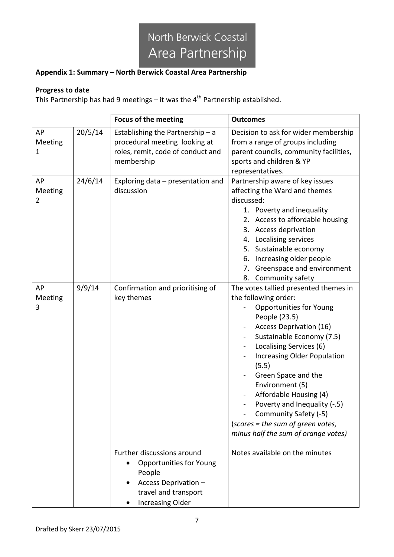### **Appendix 1: Summary – North Berwick Coastal Area Partnership**

### **Progress to date**

This Partnership has had 9 meetings – it was the  $4<sup>th</sup>$  Partnership established.

|                    |         | <b>Focus of the meeting</b>                                                                                                                       | <b>Outcomes</b>                                                                                                                                                                                                                                                                                                                                                                                                                                                                                    |
|--------------------|---------|---------------------------------------------------------------------------------------------------------------------------------------------------|----------------------------------------------------------------------------------------------------------------------------------------------------------------------------------------------------------------------------------------------------------------------------------------------------------------------------------------------------------------------------------------------------------------------------------------------------------------------------------------------------|
| AP<br>Meeting<br>1 | 20/5/14 | Establishing the Partnership $- a$<br>procedural meeting looking at<br>roles, remit, code of conduct and<br>membership                            | Decision to ask for wider membership<br>from a range of groups including<br>parent councils, community facilities,<br>sports and children & YP<br>representatives.                                                                                                                                                                                                                                                                                                                                 |
| AP<br>Meeting<br>2 | 24/6/14 | Exploring data - presentation and<br>discussion                                                                                                   | Partnership aware of key issues<br>affecting the Ward and themes<br>discussed:<br>1. Poverty and inequality<br>2. Access to affordable housing<br>3. Access deprivation<br>4. Localising services<br>5. Sustainable economy<br>6. Increasing older people<br>Greenspace and environment<br>7.<br>8. Community safety                                                                                                                                                                               |
| AP<br>Meeting<br>3 | 9/9/14  | Confirmation and prioritising of<br>key themes                                                                                                    | The votes tallied presented themes in<br>the following order:<br><b>Opportunities for Young</b><br>People (23.5)<br>Access Deprivation (16)<br>Sustainable Economy (7.5)<br>Localising Services (6)<br>Increasing Older Population<br>$\blacksquare$<br>(5.5)<br>Green Space and the<br>Environment (5)<br>Affordable Housing (4)<br>Poverty and Inequality (-.5)<br>$\overline{\phantom{0}}$<br>Community Safety (-5)<br>(scores = the sum of green votes,<br>minus half the sum of orange votes) |
|                    |         | Further discussions around<br><b>Opportunities for Young</b><br>People<br>Access Deprivation -<br>travel and transport<br><b>Increasing Older</b> | Notes available on the minutes                                                                                                                                                                                                                                                                                                                                                                                                                                                                     |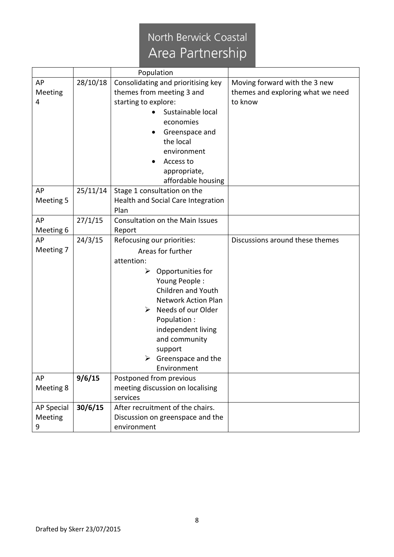|                   |          | Population                          |                                   |
|-------------------|----------|-------------------------------------|-----------------------------------|
| AP                | 28/10/18 | Consolidating and prioritising key  | Moving forward with the 3 new     |
| Meeting           |          | themes from meeting 3 and           | themes and exploring what we need |
| 4                 |          | starting to explore:                | to know                           |
|                   |          | Sustainable local                   |                                   |
|                   |          | economies                           |                                   |
|                   |          | Greenspace and                      |                                   |
|                   |          | the local                           |                                   |
|                   |          | environment                         |                                   |
|                   |          | Access to                           |                                   |
|                   |          | appropriate,                        |                                   |
|                   |          | affordable housing                  |                                   |
| AP                | 25/11/14 | Stage 1 consultation on the         |                                   |
| Meeting 5         |          | Health and Social Care Integration  |                                   |
|                   |          | Plan                                |                                   |
| AP                | 27/1/15  | Consultation on the Main Issues     |                                   |
| Meeting 6         |          | Report                              |                                   |
| AP                | 24/3/15  | Refocusing our priorities:          | Discussions around these themes   |
| Meeting 7         |          | Areas for further                   |                                   |
|                   |          | attention:                          |                                   |
|                   |          | Opportunities for<br>➤              |                                   |
|                   |          | Young People:                       |                                   |
|                   |          | Children and Youth                  |                                   |
|                   |          | <b>Network Action Plan</b>          |                                   |
|                   |          | $\triangleright$ Needs of our Older |                                   |
|                   |          | Population:                         |                                   |
|                   |          | independent living                  |                                   |
|                   |          | and community                       |                                   |
|                   |          | support                             |                                   |
|                   |          | Greenspace and the<br>➤             |                                   |
|                   |          | Environment                         |                                   |
| AP                | 9/6/15   | Postponed from previous             |                                   |
| Meeting 8         |          | meeting discussion on localising    |                                   |
|                   |          | services                            |                                   |
| <b>AP Special</b> | 30/6/15  | After recruitment of the chairs.    |                                   |
| Meeting           |          | Discussion on greenspace and the    |                                   |
| 9                 |          | environment                         |                                   |